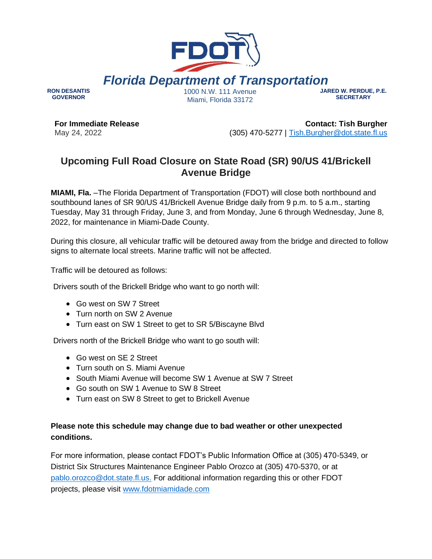

**For Immediate Release** May 24, 2022

**GOVERNOR**

**Contact: Tish Burgher** (305) 470-5277 | [Tish.Burgher@dot.state.fl.us](mailto:Tish.Burgher@dot.state.fl.us)

## **Upcoming Full Road Closure on State Road (SR) 90/US 41/Brickell Avenue Bridge**

**MIAMI, Fla.** –The Florida Department of Transportation (FDOT) will close both northbound and southbound lanes of SR 90/US 41/Brickell Avenue Bridge daily from 9 p.m. to 5 a.m., starting Tuesday, May 31 through Friday, June 3, and from Monday, June 6 through Wednesday, June 8, 2022, for maintenance in Miami-Dade County.

During this closure, all vehicular traffic will be detoured away from the bridge and directed to follow signs to alternate local streets. Marine traffic will not be affected.

Traffic will be detoured as follows:

Drivers south of the Brickell Bridge who want to go north will:

- Go west on SW 7 Street
- Turn north on SW 2 Avenue
- Turn east on SW 1 Street to get to SR 5/Biscayne Blvd

Drivers north of the Brickell Bridge who want to go south will:

- Go west on SE 2 Street
- Turn south on S. Miami Avenue
- South Miami Avenue will become SW 1 Avenue at SW 7 Street
- Go south on SW 1 Avenue to SW 8 Street
- Turn east on SW 8 Street to get to Brickell Avenue

## **Please note this schedule may change due to bad weather or other unexpected conditions.**

For more information, please contact FDOT's Public Information Office at (305) 470-5349, or District Six Structures Maintenance Engineer Pablo Orozco at (305) 470-5370, or a[t](mailto:%20pablo.orozco@dot.state.fl.us) [pablo.orozco@dot.state.fl.us](mailto:%20pablo.orozco@dot.state.fl.us)[.](mailto:Javier.Hurtado@dot.state.fl.us) For additional information regarding this or other FDOT projects, please visit [www.fdotmiamidade.com](http://www.fdotmiamidade.com/)